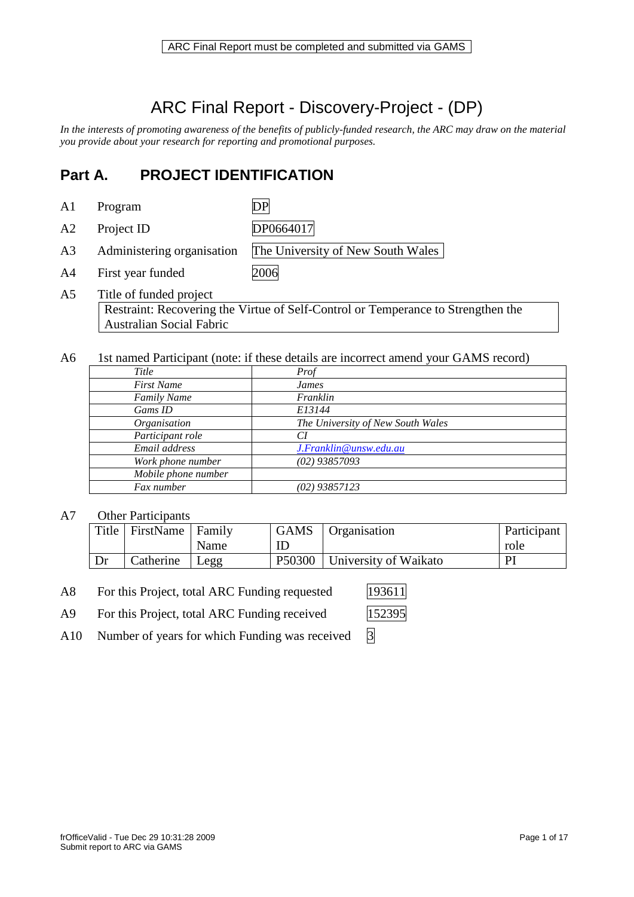# ARC Final Report - Discovery-Project - (DP)

*In the interests of promoting awareness of the benefits of publicly-funded research, the ARC may draw on the material you provide about your research for reporting and promotional purposes.* 

## **Part A. PROJECT IDENTIFICATION**

A1 Program DP

- A2 Project ID DP0664017
- A3 Administering organisation The University of New South Wales
- A4 First year funded 2006
- A5 Title of funded project Restraint: Recovering the Virtue of Self-Control or Temperance to Strengthen the Australian Social Fabric
- A6 1st named Participant (note: if these details are incorrect amend your GAMS record)

| Title               | Prof                              |
|---------------------|-----------------------------------|
| <b>First Name</b>   | James                             |
| <b>Family Name</b>  | Franklin                          |
| Gams ID             | E13144                            |
| Organisation        | The University of New South Wales |
| Participant role    | СI                                |
| Email address       | J.Franklin@unsw.edu.au            |
| Work phone number   | $(02)$ 93857093                   |
| Mobile phone number |                                   |
| Fax number          | $(02)$ 93857123                   |

### A7 Other Participants

| Title | FirstName   Family |      | <b>GAMS</b>        | Organisation          | Participant |
|-------|--------------------|------|--------------------|-----------------------|-------------|
|       |                    | Name |                    |                       | role        |
|       | Catherine          | Legg | P <sub>50300</sub> | University of Waikato | PI          |

A8 For this Project, total ARC Funding requested 193611

- A9 For this Project, total ARC Funding received
- A10 Number of years for which Funding was received  $\overline{3}$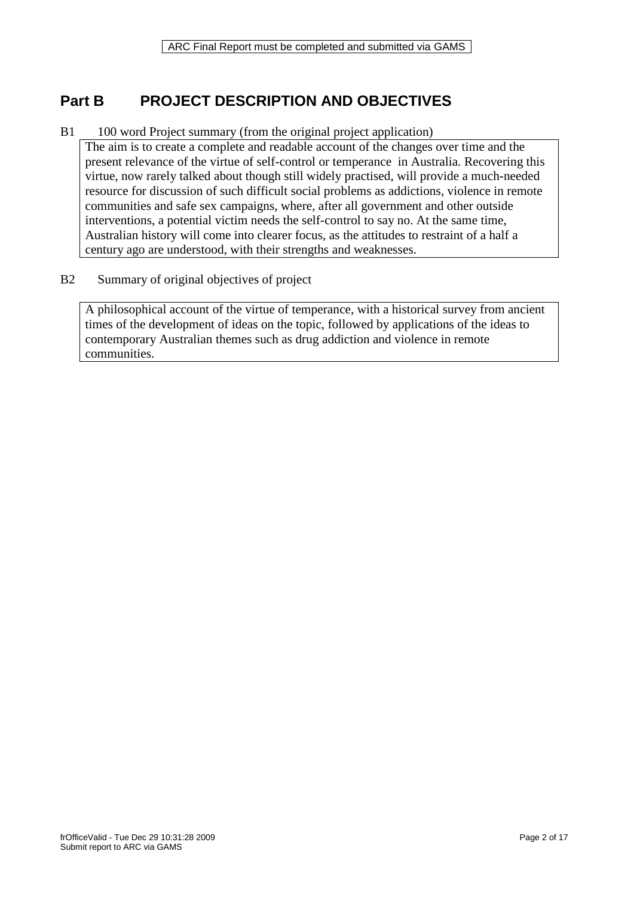## **Part B PROJECT DESCRIPTION AND OBJECTIVES**

### B1 100 word Project summary (from the original project application)

The aim is to create a complete and readable account of the changes over time and the present relevance of the virtue of self-control or temperance in Australia. Recovering this virtue, now rarely talked about though still widely practised, will provide a much-needed resource for discussion of such difficult social problems as addictions, violence in remote communities and safe sex campaigns, where, after all government and other outside interventions, a potential victim needs the self-control to say no. At the same time, Australian history will come into clearer focus, as the attitudes to restraint of a half a century ago are understood, with their strengths and weaknesses.

### B2 Summary of original objectives of project

A philosophical account of the virtue of temperance, with a historical survey from ancient times of the development of ideas on the topic, followed by applications of the ideas to contemporary Australian themes such as drug addiction and violence in remote communities.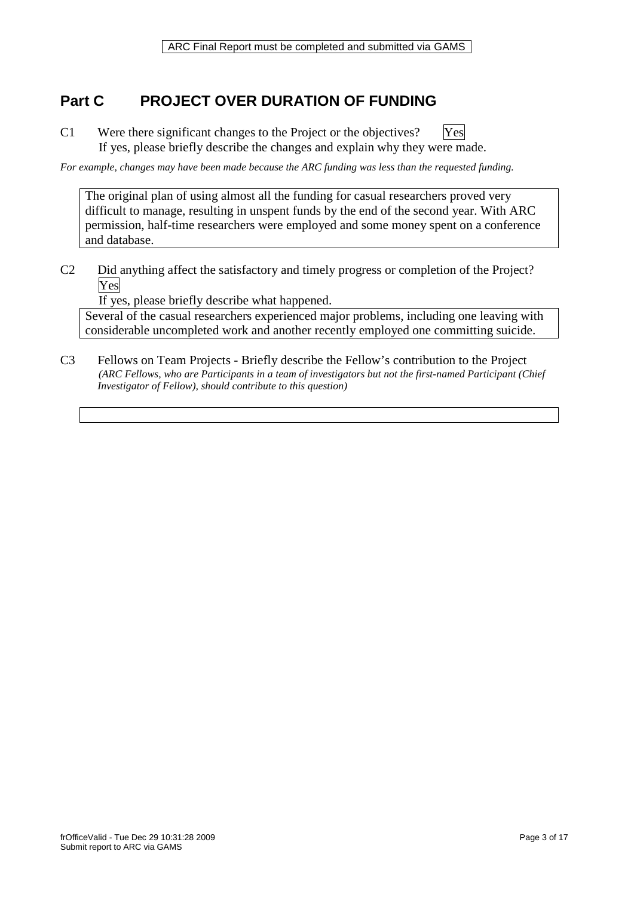## **Part C PROJECT OVER DURATION OF FUNDING**

C1 Were there significant changes to the Project or the objectives? [Yes If yes, please briefly describe the changes and explain why they were made.

*For example, changes may have been made because the ARC funding was less than the requested funding.*

The original plan of using almost all the funding for casual researchers proved very difficult to manage, resulting in unspent funds by the end of the second year. With ARC permission, half-time researchers were employed and some money spent on a conference and database.

C2 Did anything affect the satisfactory and timely progress or completion of the Project? Yes

If yes, please briefly describe what happened.

Several of the casual researchers experienced major problems, including one leaving with considerable uncompleted work and another recently employed one committing suicide.

C3 Fellows on Team Projects - Briefly describe the Fellow's contribution to the Project *(ARC Fellows, who are Participants in a team of investigators but not the first-named Participant (Chief Investigator of Fellow), should contribute to this question)*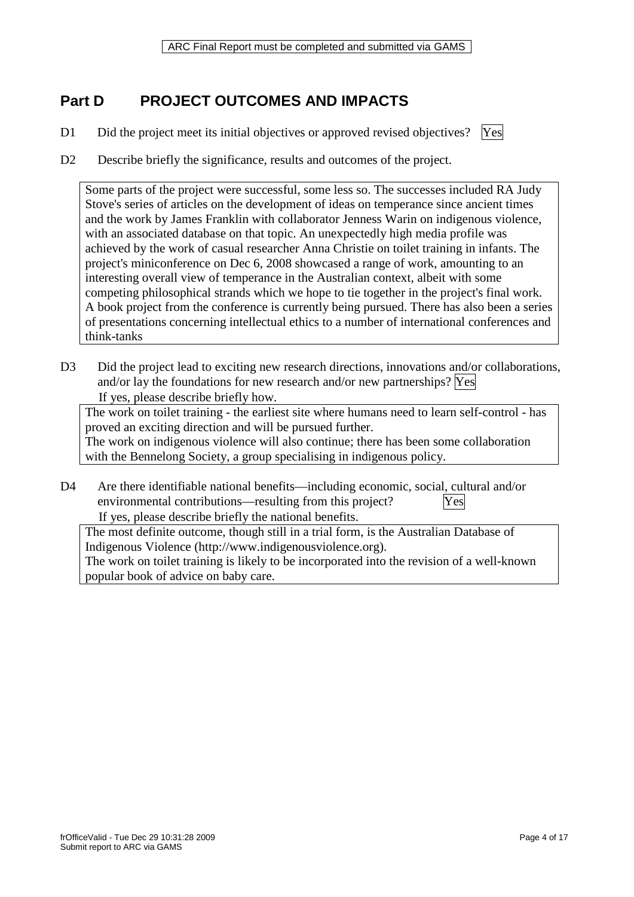ARC Final Report must be completed and submitted via GAMS

## **Part D PROJECT OUTCOMES AND IMPACTS**

- D1 Did the project meet its initial objectives or approved revised objectives? [Yes]
- 
- D2 Describe briefly the significance, results and outcomes of the project.

Some parts of the project were successful, some less so. The successes included RA Judy Stove's series of articles on the development of ideas on temperance since ancient times and the work by James Franklin with collaborator Jenness Warin on indigenous violence, with an associated database on that topic. An unexpectedly high media profile was achieved by the work of casual researcher Anna Christie on toilet training in infants. The project's miniconference on Dec 6, 2008 showcased a range of work, amounting to an interesting overall view of temperance in the Australian context, albeit with some competing philosophical strands which we hope to tie together in the project's final work. A book project from the conference is currently being pursued. There has also been a series of presentations concerning intellectual ethics to a number of international conferences and think-tanks

D3 Did the project lead to exciting new research directions, innovations and/or collaborations, and/or lay the foundations for new research and/or new partnerships?  $Yes$ If yes, please describe briefly how.

The work on toilet training - the earliest site where humans need to learn self-control - has proved an exciting direction and will be pursued further.

The work on indigenous violence will also continue; there has been some collaboration with the Bennelong Society, a group specialising in indigenous policy.

D4 Are there identifiable national benefits—including economic, social, cultural and/or environmental contributions—resulting from this project? Yes If yes, please describe briefly the national benefits.

The most definite outcome, though still in a trial form, is the Australian Database of Indigenous Violence (http://www.indigenousviolence.org).

The work on toilet training is likely to be incorporated into the revision of a well-known popular book of advice on baby care.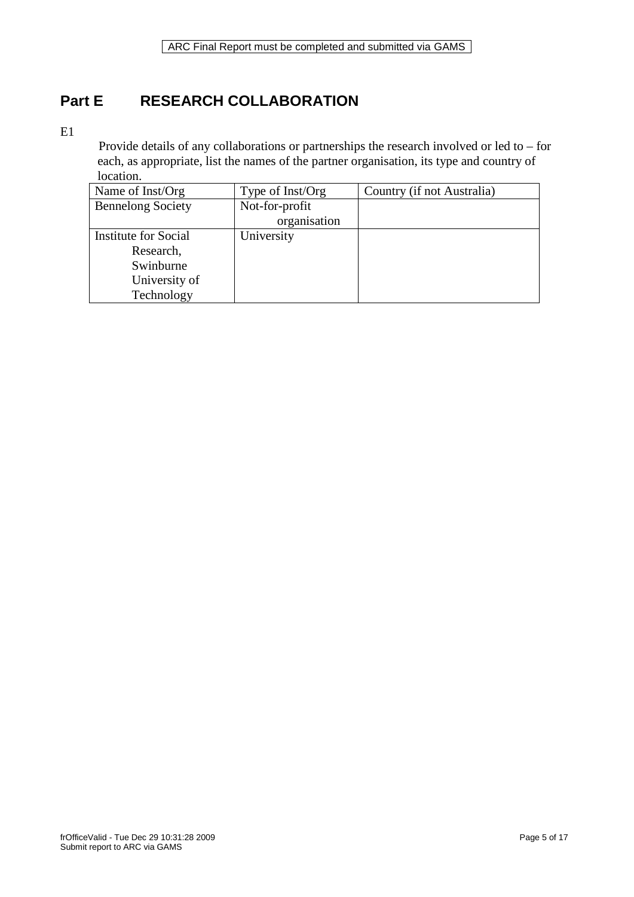## **Part E RESEARCH COLLABORATION**

#### E1

 Provide details of any collaborations or partnerships the research involved or led to – for each, as appropriate, list the names of the partner organisation, its type and country of location.

| Name of Inst/Org            | Type of Inst/Org | Country (if not Australia) |
|-----------------------------|------------------|----------------------------|
| <b>Bennelong Society</b>    | Not-for-profit   |                            |
|                             | organisation     |                            |
| <b>Institute for Social</b> | University       |                            |
| Research,                   |                  |                            |
| Swinburne                   |                  |                            |
| University of               |                  |                            |
| Technology                  |                  |                            |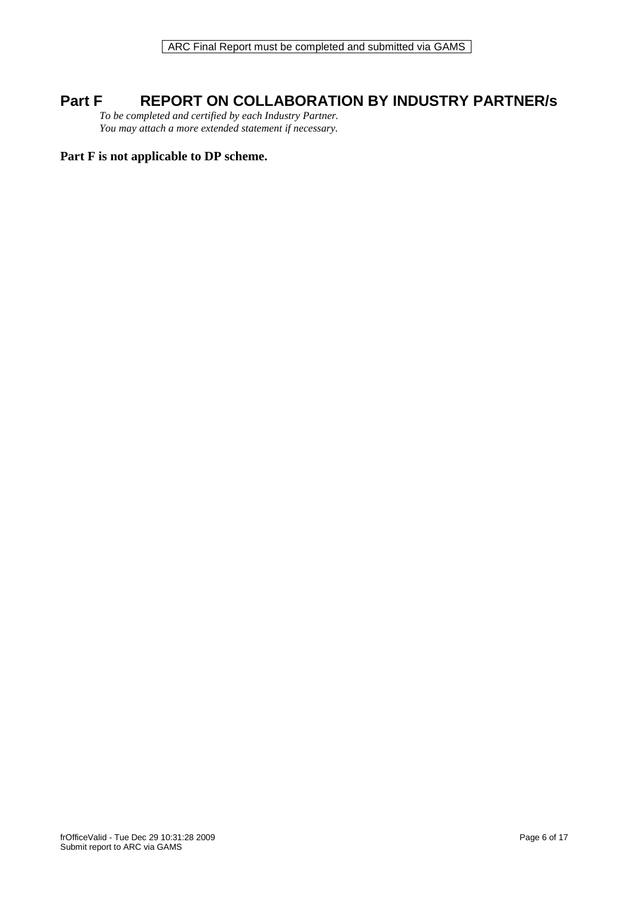### **Part F REPORT ON COLLABORATION BY INDUSTRY PARTNER/s**

*To be completed and certified by each Industry Partner. You may attach a more extended statement if necessary.*

### **Part F is not applicable to DP scheme.**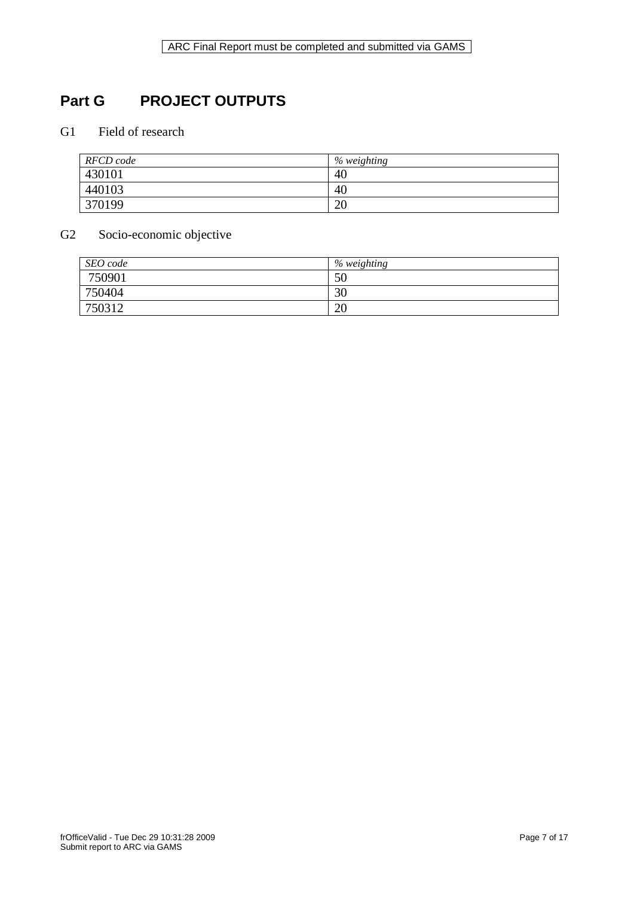# **Part G PROJECT OUTPUTS**

### G1 Field of research

| RFCD code | % weighting |
|-----------|-------------|
| 430101    | 40          |
| 440103    | 40          |
| 370199    | 20          |

### G2 Socio-economic objective

| SEO code | % weighting |
|----------|-------------|
| 750901   | 50          |
| 750404   | 30          |
| 750312   | 20          |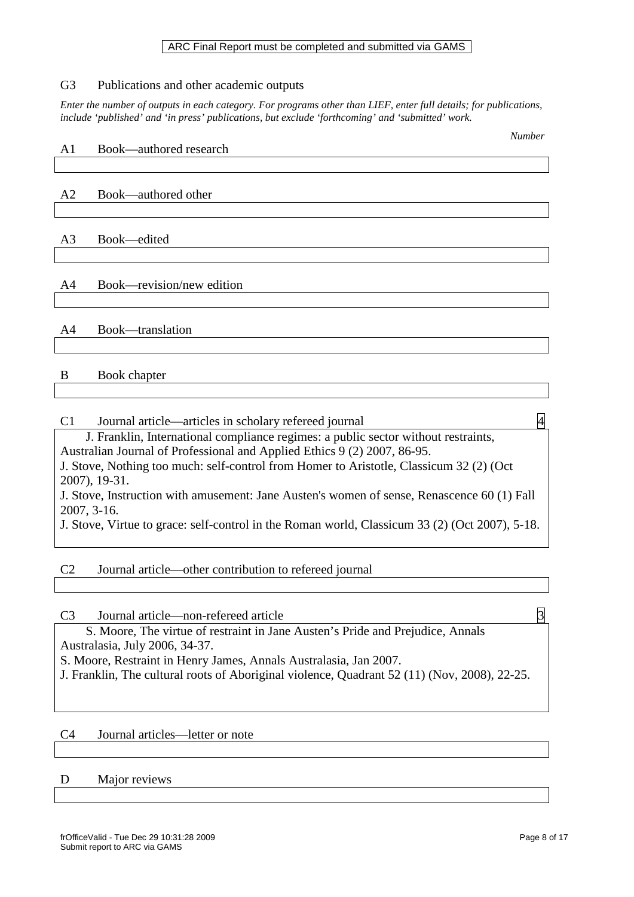#### ARC Final Report must be completed and submitted via GAMS

### G3 Publications and other academic outputs

*Enter the number of outputs in each category. For programs other than LIEF, enter full details; for publications, include 'published' and 'in press' publications, but exclude 'forthcoming' and 'submitted' work.* 

| A1             | Book—authored research    | <i>ivumver</i> |
|----------------|---------------------------|----------------|
|                |                           |                |
|                |                           |                |
| A2             | Book—authored other       |                |
|                |                           |                |
|                |                           |                |
| A <sub>3</sub> | Book-edited               |                |
|                |                           |                |
|                |                           |                |
| A4             | Book—revision/new edition |                |
|                |                           |                |
|                |                           |                |
| A <sub>4</sub> | Book-translation          |                |
|                |                           |                |
|                |                           |                |
| B              | Book chapter              |                |
|                |                           |                |

### C1 Journal article—articles in scholary refereed journal 4 J. Franklin, International compliance regimes: a public sector without restraints, Australian Journal of Professional and Applied Ethics 9 (2) 2007, 86-95. J. Stove, Nothing too much: self-control from Homer to Aristotle, Classicum 32 (2) (Oct 2007), 19-31. J. Stove, Instruction with amusement: Jane Austen's women of sense, Renascence 60 (1) Fall 2007, 3-16. J. Stove, Virtue to grace: self-control in the Roman world, Classicum 33 (2) (Oct 2007), 5-18.

### C2 Journal article—other contribution to refereed journal

C3 Journal article—non-refereed article  $\overline{3}$  S. Moore, The virtue of restraint in Jane Austen's Pride and Prejudice, Annals Australasia, July 2006, 34-37. S. Moore, Restraint in Henry James, Annals Australasia, Jan 2007. J. Franklin, The cultural roots of Aboriginal violence, Quadrant 52 (11) (Nov, 2008), 22-25.

### C4 Journal articles—letter or note

#### D Major reviews

*Number*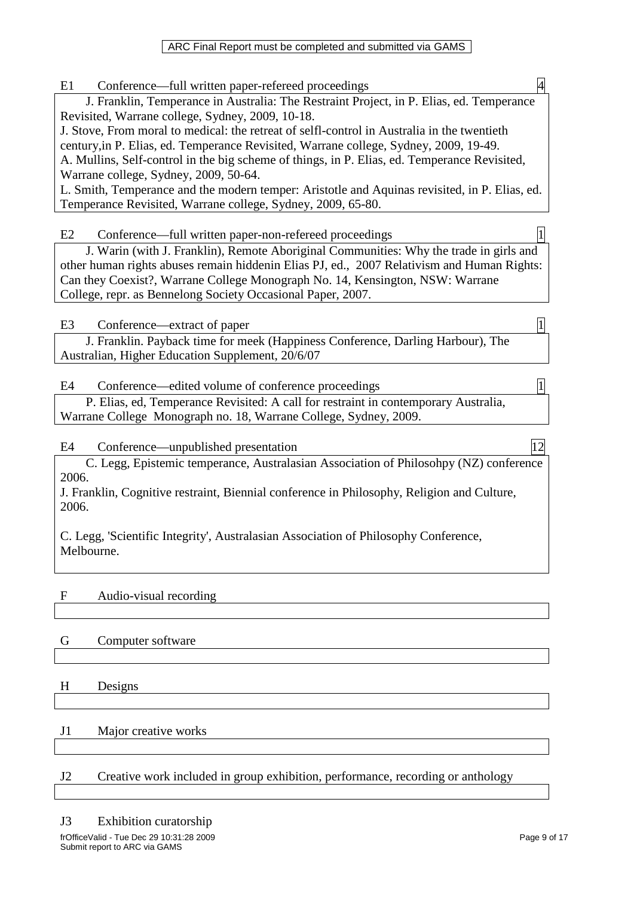E1 Conference—full written paper-refereed proceedings

 J. Franklin, Temperance in Australia: The Restraint Project, in P. Elias, ed. Temperance Revisited, Warrane college, Sydney, 2009, 10-18.

J. Stove, From moral to medical: the retreat of selfl-control in Australia in the twentieth century,in P. Elias, ed. Temperance Revisited, Warrane college, Sydney, 2009, 19-49. A. Mullins, Self-control in the big scheme of things, in P. Elias, ed. Temperance Revisited,

Warrane college, Sydney, 2009, 50-64.

L. Smith, Temperance and the modern temper: Aristotle and Aquinas revisited, in P. Elias, ed. Temperance Revisited, Warrane college, Sydney, 2009, 65-80.

E2 Conference—full written paper-non-refereed proceedings

 J. Warin (with J. Franklin), Remote Aboriginal Communities: Why the trade in girls and other human rights abuses remain hiddenin Elias PJ, ed., 2007 Relativism and Human Rights: Can they Coexist?, Warrane College Monograph No. 14, Kensington, NSW: Warrane College, repr. as Bennelong Society Occasional Paper, 2007.

E3 Conference—extract of paper 1

 J. Franklin. Payback time for meek (Happiness Conference, Darling Harbour), The Australian, Higher Education Supplement, 20/6/07

E4 Conference—edited volume of conference proceedings 1

 P. Elias, ed, Temperance Revisited: A call for restraint in contemporary Australia, Warrane College Monograph no. 18, Warrane College, Sydney, 2009.

E4 Conference—unpublished presentation 12

 C. Legg, Epistemic temperance, Australasian Association of Philosohpy (NZ) conference 2006.

J. Franklin, Cognitive restraint, Biennial conference in Philosophy, Religion and Culture, 2006.

C. Legg, 'Scientific Integrity', Australasian Association of Philosophy Conference, Melbourne.

### F Audio-visual recording

### G Computer software

H Designs

### J1 Major creative works

### J2 Creative work included in group exhibition, performance, recording or anthology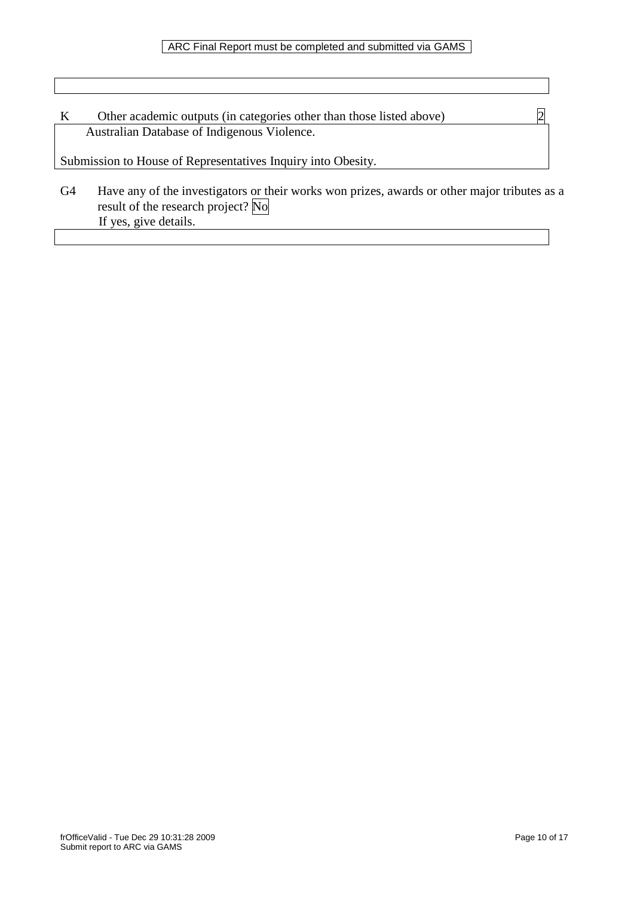| Other academic outputs (in categories other than those listed above) |  |
|----------------------------------------------------------------------|--|
| Australian Database of Indigenous Violence.                          |  |

Submission to House of Representatives Inquiry into Obesity.

G4 Have any of the investigators or their works won prizes, awards or other major tributes as a result of the research project? No If yes, give details.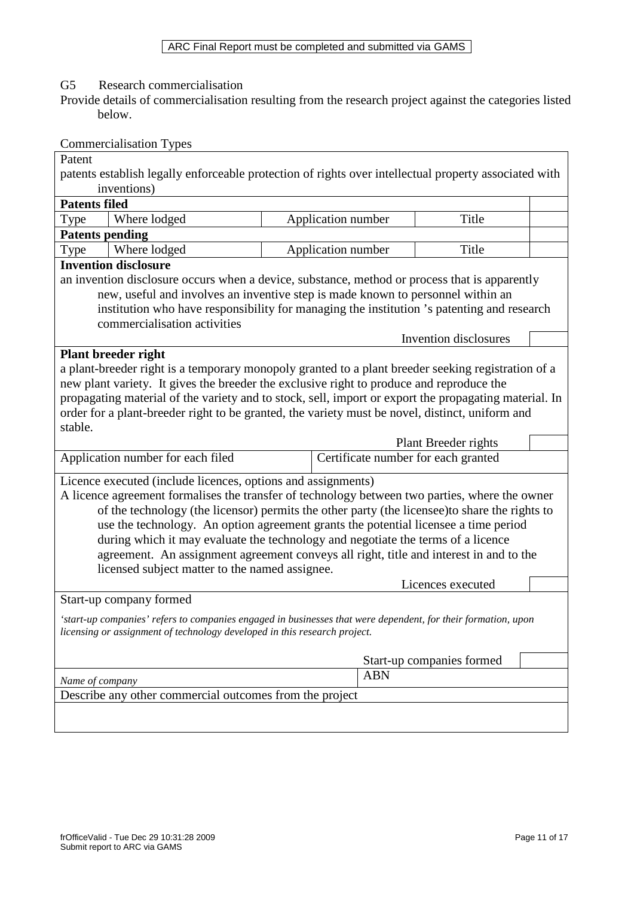G5 Research commercialisation

Provide details of commercialisation resulting from the research project against the categories listed below.

|                                                                                                               | <b>Commercialisation Types</b>                                                                        |                                     |                           |  |  |
|---------------------------------------------------------------------------------------------------------------|-------------------------------------------------------------------------------------------------------|-------------------------------------|---------------------------|--|--|
| Patent                                                                                                        |                                                                                                       |                                     |                           |  |  |
|                                                                                                               | patents establish legally enforceable protection of rights over intellectual property associated with |                                     |                           |  |  |
|                                                                                                               | inventions)                                                                                           |                                     |                           |  |  |
| <b>Patents filed</b>                                                                                          |                                                                                                       |                                     |                           |  |  |
| Type                                                                                                          | Where lodged                                                                                          | Application number                  | Title                     |  |  |
|                                                                                                               | <b>Patents pending</b>                                                                                |                                     |                           |  |  |
| Type                                                                                                          | Where lodged                                                                                          | Application number                  | Title                     |  |  |
|                                                                                                               | <b>Invention disclosure</b>                                                                           |                                     |                           |  |  |
|                                                                                                               | an invention disclosure occurs when a device, substance, method or process that is apparently         |                                     |                           |  |  |
|                                                                                                               | new, useful and involves an inventive step is made known to personnel within an                       |                                     |                           |  |  |
|                                                                                                               | institution who have responsibility for managing the institution 's patenting and research            |                                     |                           |  |  |
|                                                                                                               | commercialisation activities                                                                          |                                     |                           |  |  |
|                                                                                                               |                                                                                                       |                                     | Invention disclosures     |  |  |
|                                                                                                               | <b>Plant breeder right</b>                                                                            |                                     |                           |  |  |
|                                                                                                               | a plant-breeder right is a temporary monopoly granted to a plant breeder seeking registration of a    |                                     |                           |  |  |
|                                                                                                               | new plant variety. It gives the breeder the exclusive right to produce and reproduce the              |                                     |                           |  |  |
|                                                                                                               | propagating material of the variety and to stock, sell, import or export the propagating material. In |                                     |                           |  |  |
|                                                                                                               | order for a plant-breeder right to be granted, the variety must be novel, distinct, uniform and       |                                     |                           |  |  |
| stable.                                                                                                       |                                                                                                       |                                     |                           |  |  |
|                                                                                                               |                                                                                                       |                                     | Plant Breeder rights      |  |  |
|                                                                                                               | Application number for each filed                                                                     | Certificate number for each granted |                           |  |  |
|                                                                                                               | Licence executed (include licences, options and assignments)                                          |                                     |                           |  |  |
|                                                                                                               | A licence agreement formalises the transfer of technology between two parties, where the owner        |                                     |                           |  |  |
|                                                                                                               | of the technology (the licensor) permits the other party (the licensee) to share the rights to        |                                     |                           |  |  |
|                                                                                                               | use the technology. An option agreement grants the potential licensee a time period                   |                                     |                           |  |  |
|                                                                                                               | during which it may evaluate the technology and negotiate the terms of a licence                      |                                     |                           |  |  |
|                                                                                                               | agreement. An assignment agreement conveys all right, title and interest in and to the                |                                     |                           |  |  |
|                                                                                                               | licensed subject matter to the named assignee.                                                        |                                     |                           |  |  |
|                                                                                                               |                                                                                                       |                                     | Licences executed         |  |  |
|                                                                                                               |                                                                                                       |                                     |                           |  |  |
| 'start-up companies' refers to companies engaged in businesses that were dependent, for their formation, upon |                                                                                                       |                                     |                           |  |  |
|                                                                                                               | Start-up company formed                                                                               |                                     |                           |  |  |
|                                                                                                               | licensing or assignment of technology developed in this research project.                             |                                     |                           |  |  |
|                                                                                                               |                                                                                                       |                                     |                           |  |  |
|                                                                                                               |                                                                                                       |                                     | Start-up companies formed |  |  |
| Name of company                                                                                               |                                                                                                       | <b>ABN</b>                          |                           |  |  |
|                                                                                                               | Describe any other commercial outcomes from the project                                               |                                     |                           |  |  |
|                                                                                                               |                                                                                                       |                                     |                           |  |  |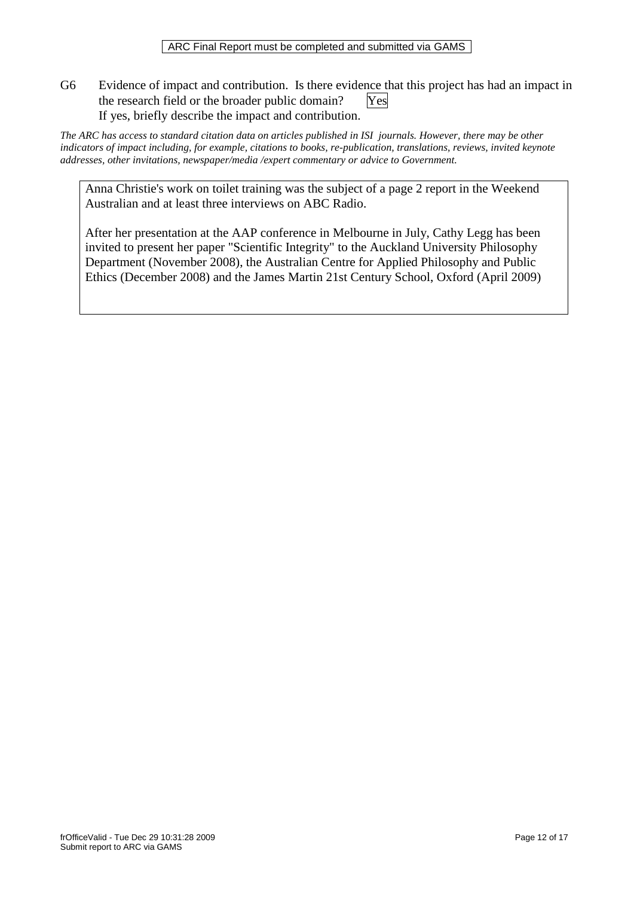G6 Evidence of impact and contribution. Is there evidence that this project has had an impact in the research field or the broader public domain? Yes If yes, briefly describe the impact and contribution.

*The ARC has access to standard citation data on articles published in ISI journals. However, there may be other indicators of impact including, for example, citations to books, re-publication, translations, reviews, invited keynote addresses, other invitations, newspaper/media /expert commentary or advice to Government.* 

Anna Christie's work on toilet training was the subject of a page 2 report in the Weekend Australian and at least three interviews on ABC Radio.

After her presentation at the AAP conference in Melbourne in July, Cathy Legg has been invited to present her paper "Scientific Integrity" to the Auckland University Philosophy Department (November 2008), the Australian Centre for Applied Philosophy and Public Ethics (December 2008) and the James Martin 21st Century School, Oxford (April 2009)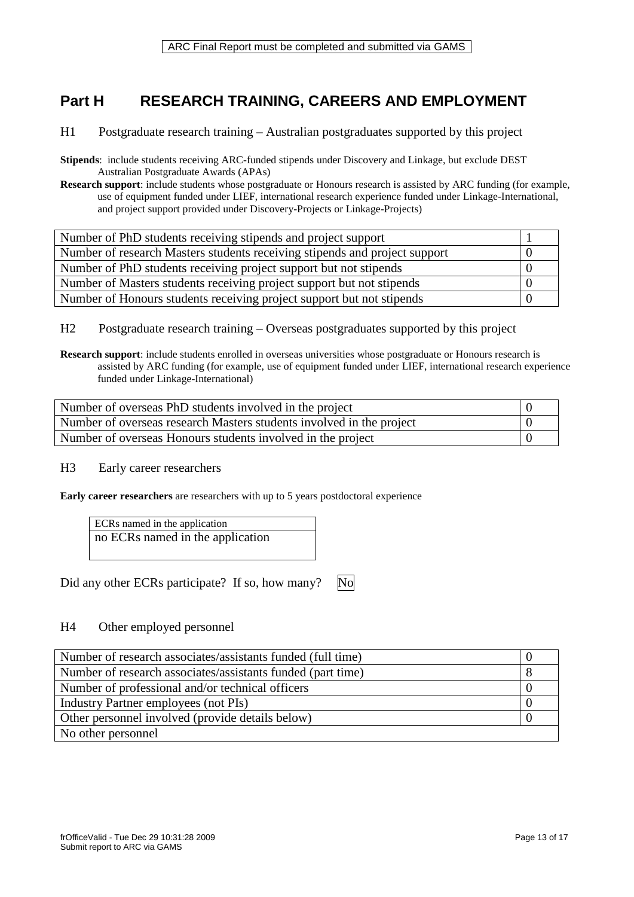## **Part H RESEARCH TRAINING, CAREERS AND EMPLOYMENT**

- H1 Postgraduate research training Australian postgraduates supported by this project
- **Stipends**: include students receiving ARC-funded stipends under Discovery and Linkage, but exclude DEST Australian Postgraduate Awards (APAs)
- **Research support**: include students whose postgraduate or Honours research is assisted by ARC funding (for example, use of equipment funded under LIEF, international research experience funded under Linkage-International, and project support provided under Discovery-Projects or Linkage-Projects)

| Number of PhD students receiving stipends and project support              |  |
|----------------------------------------------------------------------------|--|
| Number of research Masters students receiving stipends and project support |  |
| Number of PhD students receiving project support but not stipends          |  |
| Number of Masters students receiving project support but not stipends      |  |
| Number of Honours students receiving project support but not stipends      |  |

H2 Postgraduate research training – Overseas postgraduates supported by this project

**Research support**: include students enrolled in overseas universities whose postgraduate or Honours research is assisted by ARC funding (for example, use of equipment funded under LIEF, international research experience funded under Linkage-International)

| Number of overseas PhD students involved in the project              |  |
|----------------------------------------------------------------------|--|
| Number of overseas research Masters students involved in the project |  |
| Number of overseas Honours students involved in the project          |  |

H3 Early career researchers

**Early career researchers** are researchers with up to 5 years postdoctoral experience

ECRs named in the application no ECRs named in the application

Did any other ECRs participate? If so, how many? No

### H4 Other employed personnel

| Number of research associates/assistants funded (full time) |  |
|-------------------------------------------------------------|--|
| Number of research associates/assistants funded (part time) |  |
| Number of professional and/or technical officers            |  |
| Industry Partner employees (not PIs)                        |  |
| Other personnel involved (provide details below)            |  |
| No other personnel                                          |  |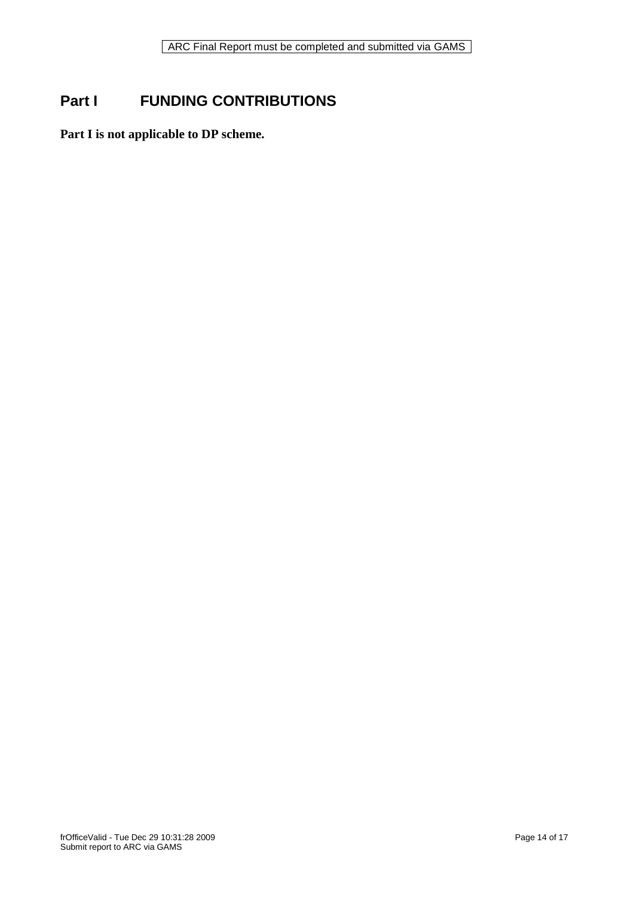# **Part I FUNDING CONTRIBUTIONS**

**Part I is not applicable to DP scheme.**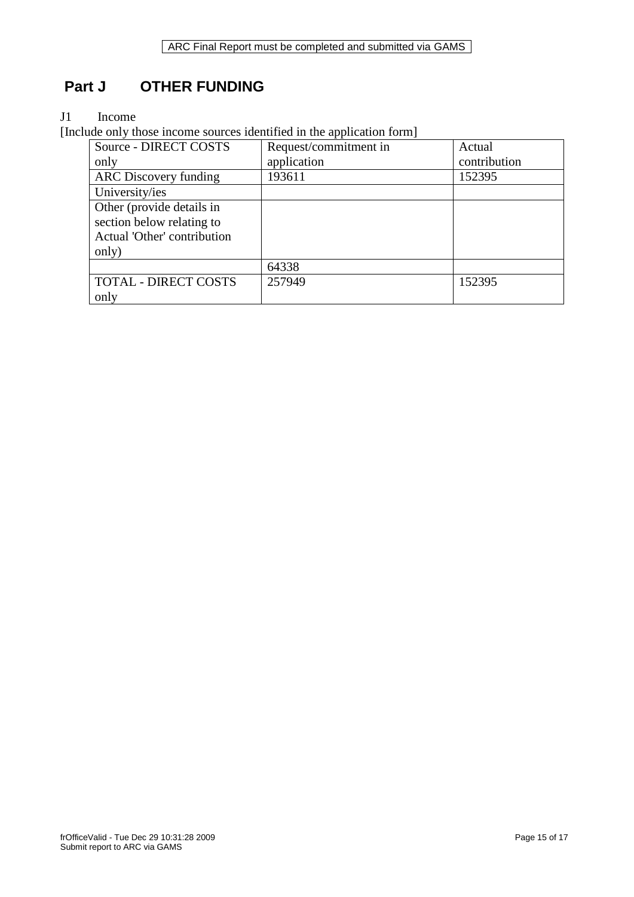## **Part J OTHER FUNDING**

### J1 Income

[Include only those income sources identified in the application form]

| Source - DIRECT COSTS        | Request/commitment in | Actual       |
|------------------------------|-----------------------|--------------|
| only                         | application           | contribution |
| <b>ARC</b> Discovery funding | 193611                | 152395       |
| University/ies               |                       |              |
| Other (provide details in    |                       |              |
| section below relating to    |                       |              |
| Actual 'Other' contribution  |                       |              |
| only)                        |                       |              |
|                              | 64338                 |              |
| <b>TOTAL - DIRECT COSTS</b>  | 257949                | 152395       |
| only                         |                       |              |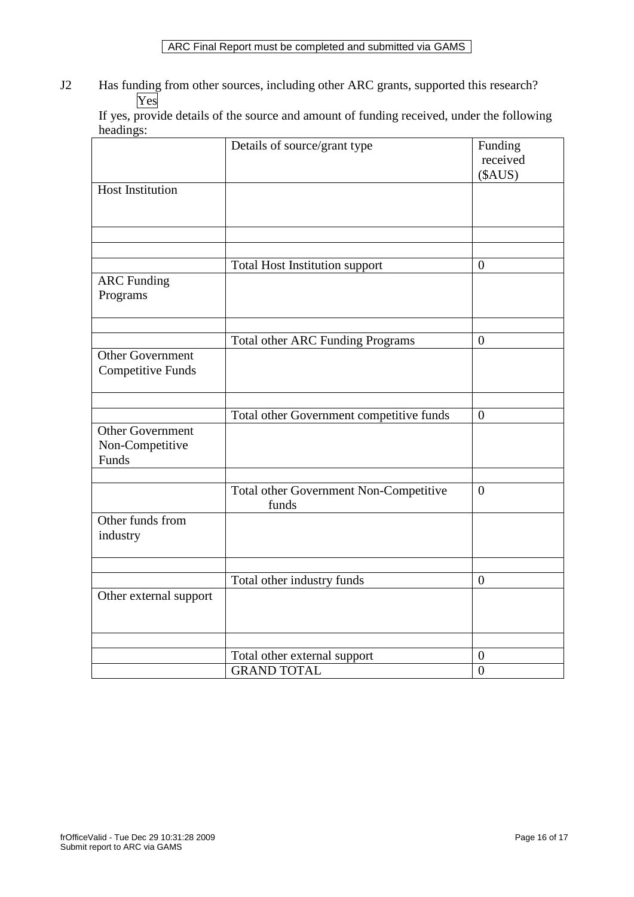### ARC Final Report must be completed and submitted via GAMS

J2 Has funding from other sources, including other ARC grants, supported this research? Yes

If yes, provide details of the source and amount of funding received, under the following headings:

|                                                     | Details of source/grant type                    | Funding<br>received |
|-----------------------------------------------------|-------------------------------------------------|---------------------|
|                                                     |                                                 | (\$AUS)             |
| <b>Host Institution</b>                             |                                                 |                     |
|                                                     |                                                 |                     |
|                                                     |                                                 |                     |
|                                                     | <b>Total Host Institution support</b>           | $\overline{0}$      |
| <b>ARC</b> Funding<br>Programs                      |                                                 |                     |
|                                                     |                                                 |                     |
|                                                     | <b>Total other ARC Funding Programs</b>         | $\boldsymbol{0}$    |
| <b>Other Government</b><br><b>Competitive Funds</b> |                                                 |                     |
|                                                     |                                                 |                     |
|                                                     | Total other Government competitive funds        | $\overline{0}$      |
| Other Government<br>Non-Competitive<br>Funds        |                                                 |                     |
|                                                     |                                                 |                     |
|                                                     | Total other Government Non-Competitive<br>funds | $\overline{0}$      |
| Other funds from<br>industry                        |                                                 |                     |
|                                                     |                                                 |                     |
|                                                     | Total other industry funds                      | $\boldsymbol{0}$    |
| Other external support                              |                                                 |                     |
|                                                     |                                                 |                     |
|                                                     | Total other external support                    | $\boldsymbol{0}$    |
|                                                     | <b>GRAND TOTAL</b>                              | $\overline{0}$      |